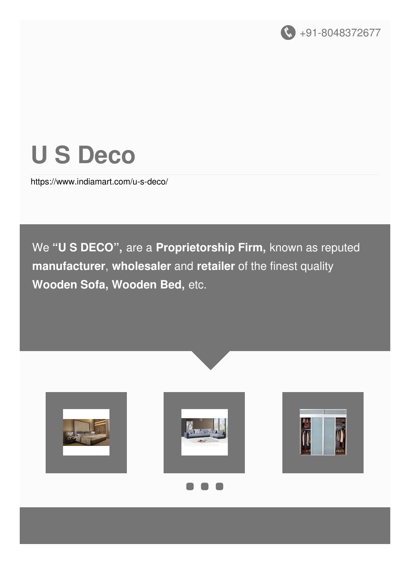

# **U S Deco**

<https://www.indiamart.com/u-s-deco/>

We **"U S DECO" ,** are a **Proprietorship Firm,** known as reputed **manufacturer**, **wholesaler** and **retailer** of the finest quality **Wooden Sofa, Wooden Bed,** etc.







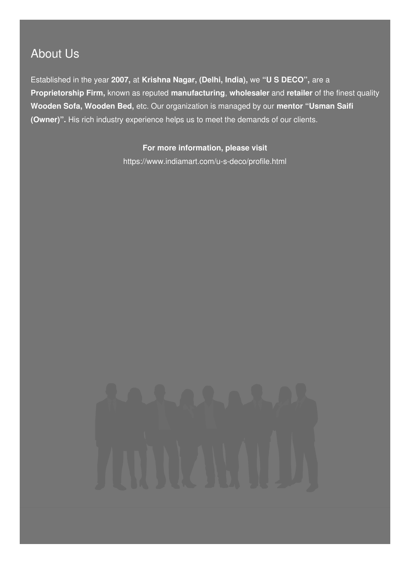### About Us

Established in the year **2007,** at **Krishna Nagar, (Delhi, India),** we **"U S DECO",** are a **Proprietorship Firm,** known as reputed **manufacturing**, **wholesaler** and **retailer** of the finest quality **Wooden Sofa, Wooden Bed,** etc. Our organization is managed by our **mentor "Usman Saifi (Owner)".** His rich industry experience helps us to meet the demands of our clients.

#### **For more information, please visit**

<https://www.indiamart.com/u-s-deco/profile.html>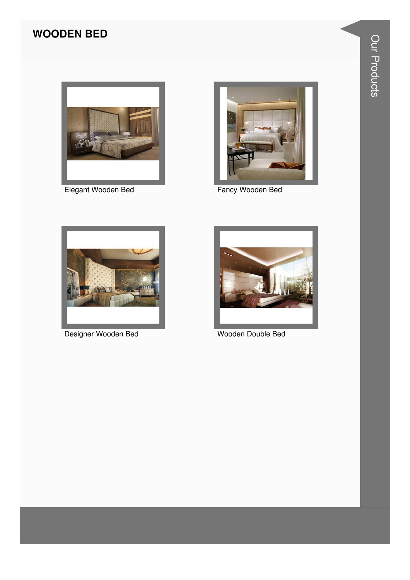#### **WOODEN BED**



Elegant Wooden Bed



Fancy Wooden Bed



Designer Wooden Bed



Wooden Double Bed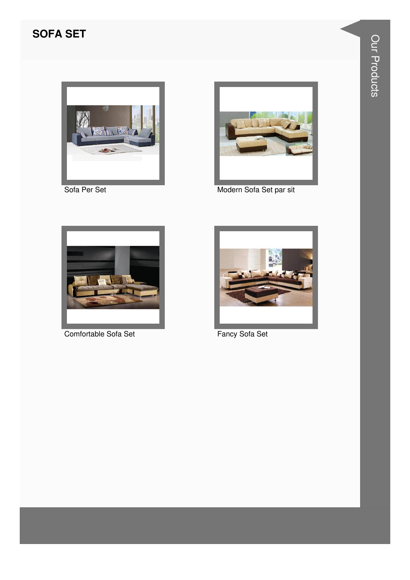#### **SOFA SET**



Sofa Per Set



Modern Sofa Set par sit



Comfortable Sofa Set



Fancy Sofa Set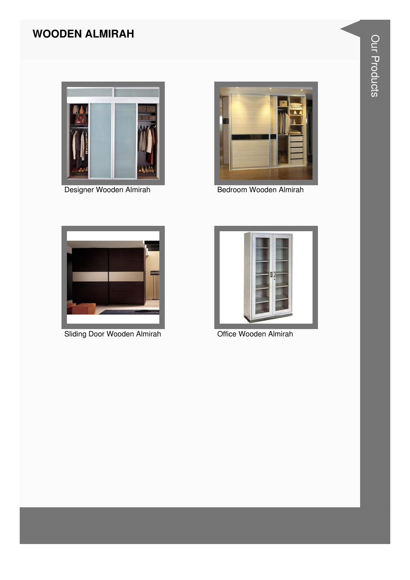#### **WOODEN ALMIRAH**



Designer Wooden Almirah



Bedroom Wooden Almirah



**Sliding Door Wooden Almirah** 



Office Wooden Almirah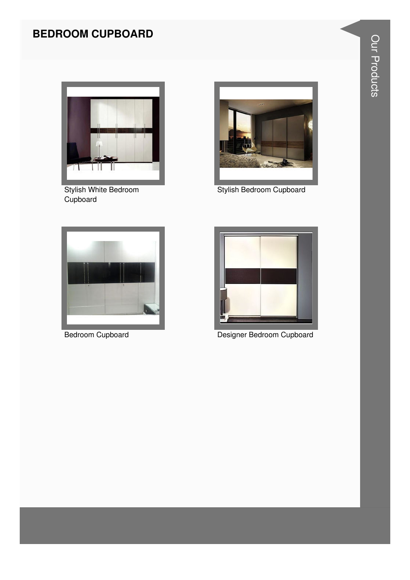#### **BEDROOM CUPBOARD**



**Stylish White Bedroom** Cupboard



Stylish Bedroom Cupboard



**Bedroom Cupboard** 



Designer Bedroom Cupboard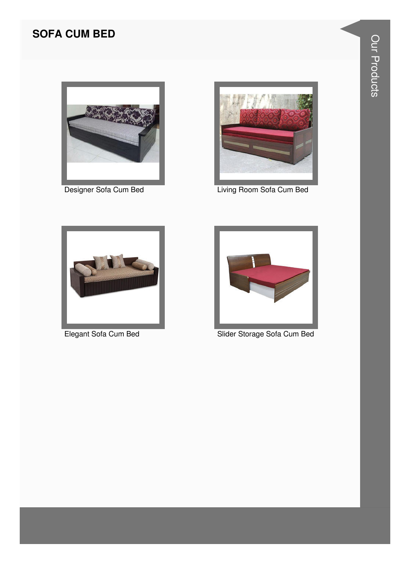#### **SOFA CUM BED**



Designer Sofa Cum Bed



Living Room Sofa Cum Bed



Elegant Sofa Cum Bed



Slider Storage Sofa Cum Bed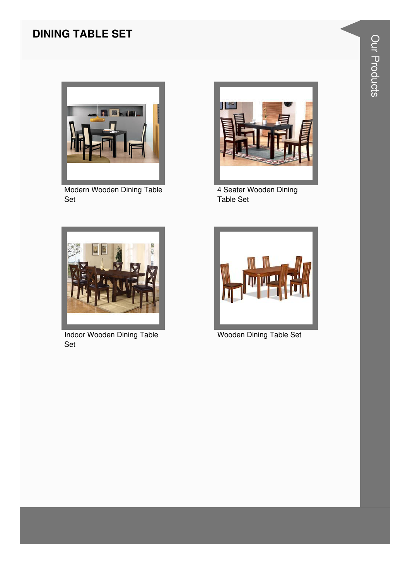#### **DINING TABLE SET**



Modern Wooden Dining Table Set



4 Seater Wooden Dining Table Set



Indoor Wooden Dining Table Set



Wooden Dining Table Set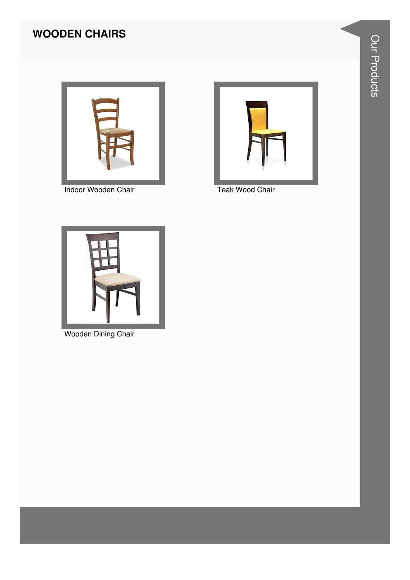#### **WOODEN CHAIRS**



Indoor Wooden Chair



Teak Wood Chair



Wooden Dining Chair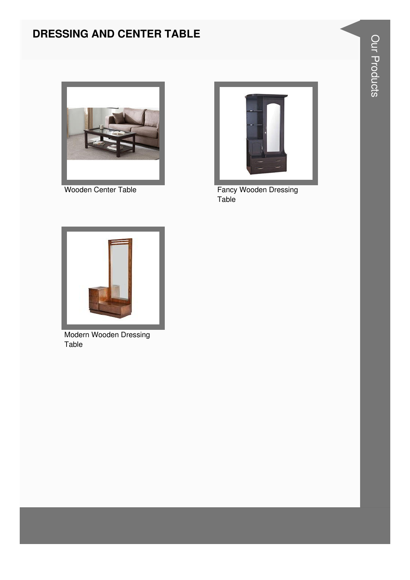#### DRESSING AND CENTER TABLE



Wooden Center Table



**Fancy Wooden Dressing** Table



**Modern Wooden Dressing** Table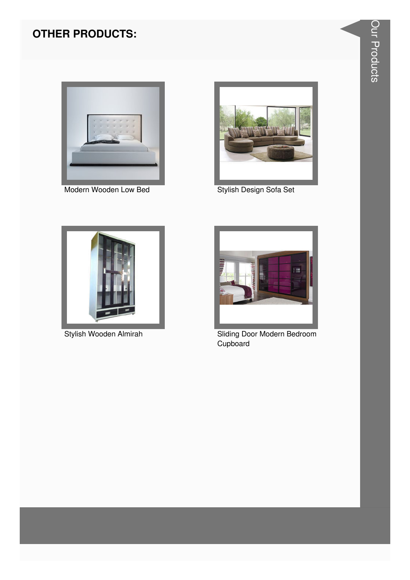#### **OTHER PRODUCTS:**



Modern Wooden Low Bed



Stylish Design Sofa Set



Stylish Wooden Almirah



**Sliding Door Modern Bedroom** Cupboard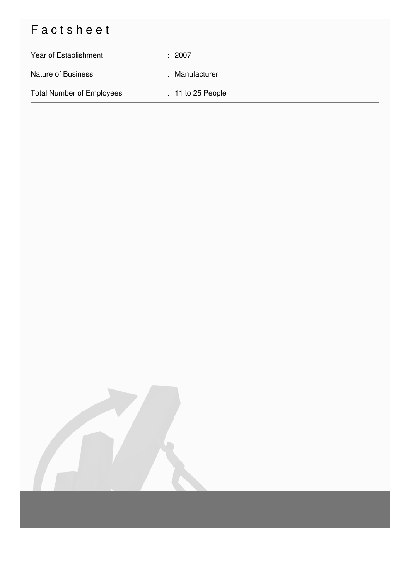## Factsheet

| Year of Establishment            | : 2007              |
|----------------------------------|---------------------|
| <b>Nature of Business</b>        | : Manufacturer      |
| <b>Total Number of Employees</b> | $: 11$ to 25 People |